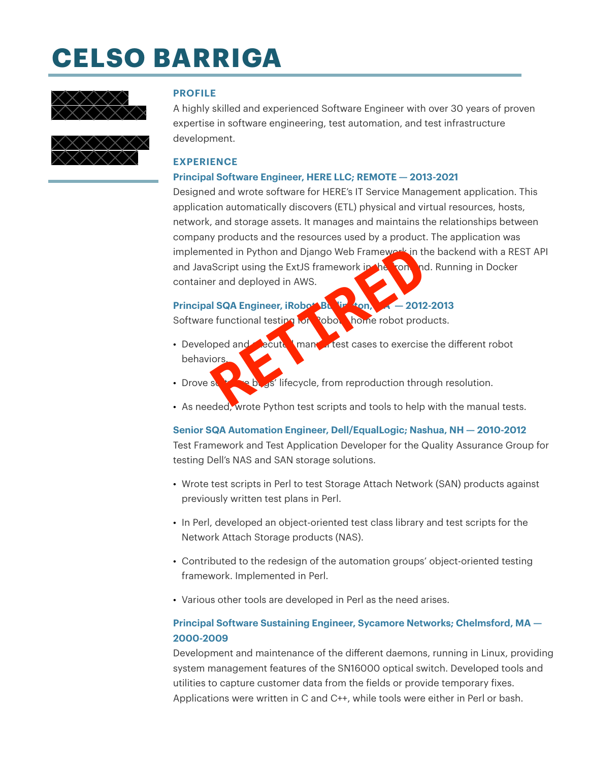# **CELSO BARRIGA**



#### **PROFILE**

A highly skilled and experienced Software Engineer with over 30 years of proven expertise in software engineering, test automation, and test infrastructure development.

### **EXPERIENCE**

#### **Principal Software Engineer, HERE LLC; REMOTE — 2013-2021**

Designed and wrote software for HERE's IT Service Management application. This application automatically discovers (ETL) physical and virtual resources, hosts, network, and storage assets. It manages and maintains the relationships between company products and the resources used by a product. The application was implemented in Python and Django Web Framework in the backend with a REST API and JavaScript using the ExtJS framework in the rontend. Running in Docker container and deployed in AWS. Particular Python and Django Web Framework in the<br>Script using the ExtJS framework in the<br>Part and deployed in AWS.<br> **RETIRED AND SOLUTE 1999 PARTICULAR PARTICULAR PARTICULAR PARTICULAR PARTICULAR PARTICULAR PARTICULAR PAR** 

# **Principal SQA Engineer, iRobot Burlington, MA — 2012-2013**

Software functional testing for sobot home robot products.

- Developed and executed manual test cases to exercise the different robot behaviors.
- Drove software bugs' lifecycle, from reproduction through resolution.
- As needed, wrote Python test scripts and tools to help with the manual tests.

**Senior SQA Automation Engineer, Dell/EqualLogic; Nashua, NH — 2010-2012** Test Framework and Test Application Developer for the Quality Assurance Group for testing Dell's NAS and SAN storage solutions.

- Wrote test scripts in Perl to test Storage Attach Network (SAN) products against previously written test plans in Perl.
- In Perl, developed an object-oriented test class library and test scripts for the Network Attach Storage products (NAS).
- Contributed to the redesign of the automation groups' object-oriented testing framework. Implemented in Perl.
- Various other tools are developed in Perl as the need arises.

# **Principal Software Sustaining Engineer, Sycamore Networks; Chelmsford, MA — 2000-2009**

Development and maintenance of the different daemons, running in Linux, providing system management features of the SN16000 optical switch. Developed tools and utilities to capture customer data from the fields or provide temporary fixes. Applications were written in C and C++, while tools were either in Perl or bash.

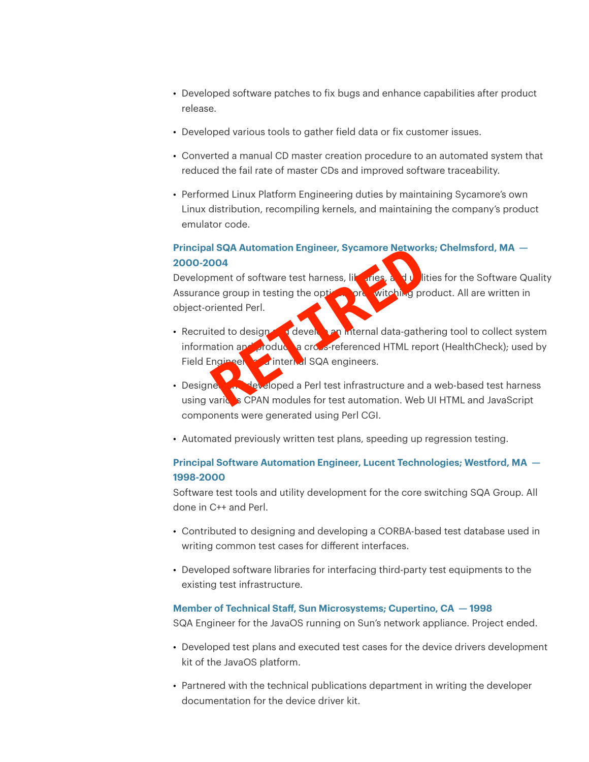- Developed software patches to fix bugs and enhance capabilities after product release.
- Developed various tools to gather field data or fix customer issues.
- Converted a manual CD master creation procedure to an automated system that reduced the fail rate of master CDs and improved software traceability.
- Performed Linux Platform Engineering duties by maintaining Sycamore's own Linux distribution, recompiling kernels, and maintaining the company's product emulator code.

# **Principal SQA Automation Engineer, Sycamore Networks; Chelmsford, MA — 2000-2004**

Development of software test harness, like rices, and utilities for the Software Quality Assurance group in testing the option one witching product. All are written in object-oriented Perl.

- Recruited to design and evelope and data-gathering tool to collect system information and produce a cross-referenced HTML report (HealthCheck); used by Field Engineer and internal SQA engineers. documentation for the HavaOS publications department<br>of the device driver and the device driver of the device driver of the development of software test harness, likewise project-oriented Perl.<br>Recruited to design develope
- Designed and developed a Perl test infrastructure and a web-based test harness using various CPAN modules for test automation. Web UI HTML and JavaScript components were generated using Perl CGI.
- Automated previously written test plans, speeding up regression testing.

# **Principal Software Automation Engineer, Lucent Technologies; Westford, MA — 1998-2000**

Software test tools and utility development for the core switching SQA Group. All done in C++ and Perl.

- Contributed to designing and developing a CORBA-based test database used in writing common test cases for different interfaces.
- Developed software libraries for interfacing third-party test equipments to the existing test infrastructure.

#### **Member of Technical Staff, Sun Microsystems; Cupertino, CA — 1998**

SQA Engineer for the JavaOS running on Sun's network appliance. Project ended.

- Developed test plans and executed test cases for the device drivers development kit of the JavaOS platform.
- Partnered with the technical publications department in writing the developer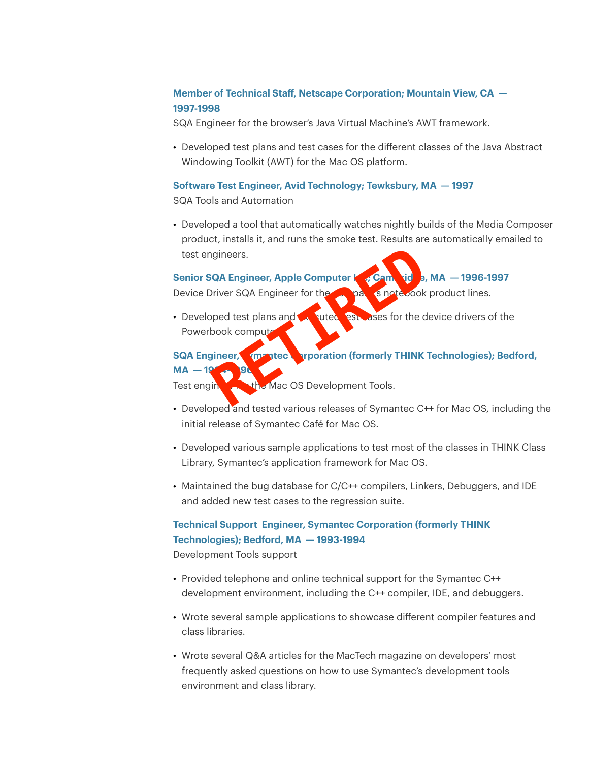# **Member of Technical Staff, Netscape Corporation; Mountain View, CA — 1997-1998**

SQA Engineer for the browser's Java Virtual Machine's AWT framework.

• Developed test plans and test cases for the different classes of the Java Abstract Windowing Toolkit (AWT) for the Mac OS platform.

# **Software Test Engineer, Avid Technology; Tewksbury, MA — 1997**

SQA Tools and Automation

• Developed a tool that automatically watches nightly builds of the Media Composer product, installs it, and runs the smoke test. Results are automatically emailed to test engineers.

#### Senior SQA Engineer, Apple Computer **I<sub>nc</sub>**; Cambridge, MA  $-$  1996-1997

Device Driver SQA Engineer for the company's notebook product lines.

• Developed test plans and  $\sqrt{2}$  suted  $\sqrt{2}$ ses for the device drivers of the Powerbook compute

# **SQA Engineer, Symantec Corporation (formerly THINK Technologies); Bedford,**

#### **MA** -

Test engineer the Mac OS Development Tools.

- Developed and tested various releases of Symantec C++ for Mac OS, including the initial release of Symantec Café for Mac OS.
- Developed various sample applications to test most of the classes in THINK Class Library, Symantec's application framework for Mac OS.
- Maintained the bug database for C/C++ compilers, Linkers, Debuggers, and IDE and added new test cases to the regression suite.

# **Technical Support Engineer, Symantec Corporation (formerly THINK Technologies); Bedford, MA — 1993-1994**

Development Tools support

- Provided telephone and online technical support for the Symantec C++ development environment, including the C++ compiler, IDE, and debuggers.
- Wrote several sample applications to showcase different compiler features and class libraries.
- Wrote several Q&A articles for the MacTech magazine on developers' most frequently asked questions on how to use Symantec's development tools test engineers.<br>
The SQA Engineer, Apple Computer **SQA Engineers**<br>
The SPA Engineer for the<br>
Developed test plans and<br>
Developed test plans and<br>
The SPA Engineers of Symmetric Crosses for the d<br>
Developed and tested variou